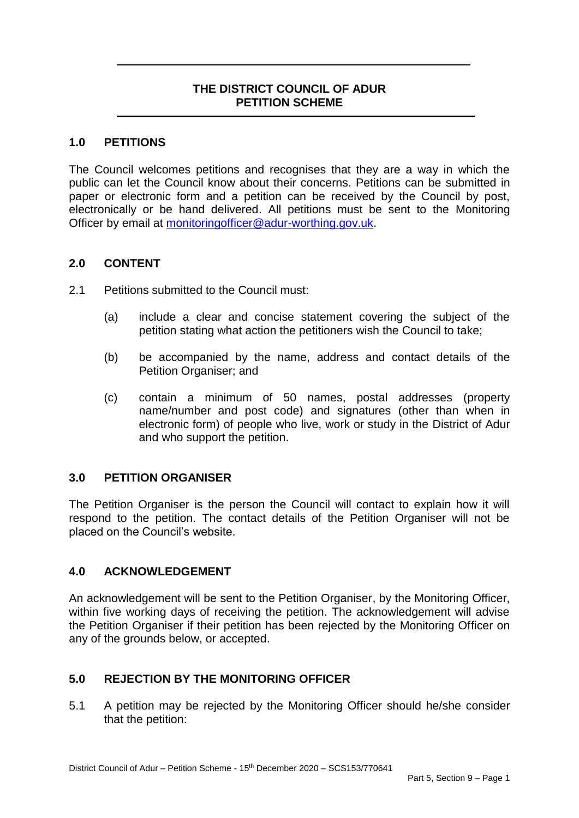# **THE DISTRICT COUNCIL OF ADUR PETITION SCHEME**

## **1.0 PETITIONS**

The Council welcomes petitions and recognises that they are a way in which the public can let the Council know about their concerns. Petitions can be submitted in paper or electronic form and a petition can be received by the Council by post, electronically or be hand delivered. All petitions must be sent to the Monitoring Officer by email at [monitoringofficer@adur-worthing.gov.uk.](mailto:monitoringofficer@adur-worthing.gov.uk)

## **2.0 CONTENT**

- 2.1 Petitions submitted to the Council must:
	- (a) include a clear and concise statement covering the subject of the petition stating what action the petitioners wish the Council to take;
	- (b) be accompanied by the name, address and contact details of the Petition Organiser; and
	- (c) contain a minimum of 50 names, postal addresses (property name/number and post code) and signatures (other than when in electronic form) of people who live, work or study in the District of Adur and who support the petition.

## **3.0 PETITION ORGANISER**

The Petition Organiser is the person the Council will contact to explain how it will respond to the petition. The contact details of the Petition Organiser will not be placed on the Council's website.

## **4.0 ACKNOWLEDGEMENT**

An acknowledgement will be sent to the Petition Organiser, by the Monitoring Officer, within five working days of receiving the petition. The acknowledgement will advise the Petition Organiser if their petition has been rejected by the Monitoring Officer on any of the grounds below, or accepted.

## **5.0 REJECTION BY THE MONITORING OFFICER**

5.1 A petition may be rejected by the Monitoring Officer should he/she consider that the petition: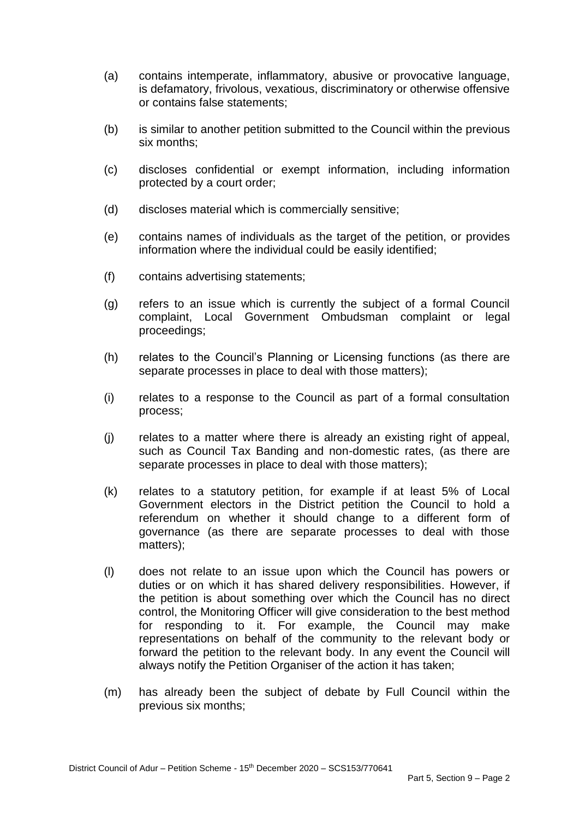- (a) contains intemperate, inflammatory, abusive or provocative language, is defamatory, frivolous, vexatious, discriminatory or otherwise offensive or contains false statements;
- (b) is similar to another petition submitted to the Council within the previous six months;
- (c) discloses confidential or exempt information, including information protected by a court order;
- (d) discloses material which is commercially sensitive;
- (e) contains names of individuals as the target of the petition, or provides information where the individual could be easily identified;
- (f) contains advertising statements;
- (g) refers to an issue which is currently the subject of a formal Council complaint, Local Government Ombudsman complaint or legal proceedings;
- (h) relates to the Council's Planning or Licensing functions (as there are separate processes in place to deal with those matters);
- (i) relates to a response to the Council as part of a formal consultation process;
- (j) relates to a matter where there is already an existing right of appeal, such as Council Tax Banding and non-domestic rates, (as there are separate processes in place to deal with those matters);
- (k) relates to a statutory petition, for example if at least 5% of Local Government electors in the District petition the Council to hold a referendum on whether it should change to a different form of governance (as there are separate processes to deal with those matters);
- (l) does not relate to an issue upon which the Council has powers or duties or on which it has shared delivery responsibilities. However, if the petition is about something over which the Council has no direct control, the Monitoring Officer will give consideration to the best method for responding to it. For example, the Council may make representations on behalf of the community to the relevant body or forward the petition to the relevant body. In any event the Council will always notify the Petition Organiser of the action it has taken;
- (m) has already been the subject of debate by Full Council within the previous six months;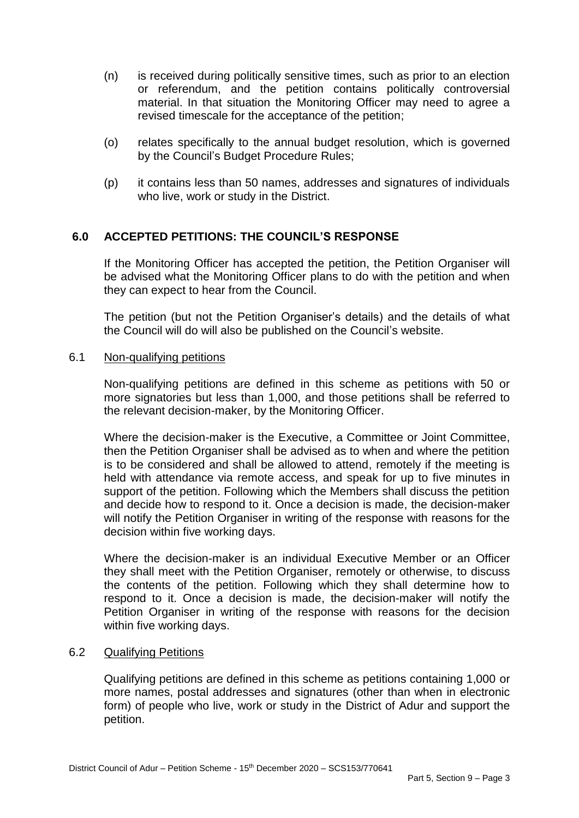- (n) is received during politically sensitive times, such as prior to an election or referendum, and the petition contains politically controversial material. In that situation the Monitoring Officer may need to agree a revised timescale for the acceptance of the petition;
- (o) relates specifically to the annual budget resolution, which is governed by the Council's Budget Procedure Rules;
- (p) it contains less than 50 names, addresses and signatures of individuals who live, work or study in the District.

## **6.0 ACCEPTED PETITIONS: THE COUNCIL'S RESPONSE**

If the Monitoring Officer has accepted the petition, the Petition Organiser will be advised what the Monitoring Officer plans to do with the petition and when they can expect to hear from the Council.

The petition (but not the Petition Organiser's details) and the details of what the Council will do will also be published on the Council's website.

### 6.1 Non-qualifying petitions

Non-qualifying petitions are defined in this scheme as petitions with 50 or more signatories but less than 1,000, and those petitions shall be referred to the relevant decision-maker, by the Monitoring Officer.

Where the decision-maker is the Executive, a Committee or Joint Committee, then the Petition Organiser shall be advised as to when and where the petition is to be considered and shall be allowed to attend, remotely if the meeting is held with attendance via remote access, and speak for up to five minutes in support of the petition. Following which the Members shall discuss the petition and decide how to respond to it. Once a decision is made, the decision-maker will notify the Petition Organiser in writing of the response with reasons for the decision within five working days.

Where the decision-maker is an individual Executive Member or an Officer they shall meet with the Petition Organiser, remotely or otherwise, to discuss the contents of the petition. Following which they shall determine how to respond to it. Once a decision is made, the decision-maker will notify the Petition Organiser in writing of the response with reasons for the decision within five working days.

### 6.2 Qualifying Petitions

Qualifying petitions are defined in this scheme as petitions containing 1,000 or more names, postal addresses and signatures (other than when in electronic form) of people who live, work or study in the District of Adur and support the petition.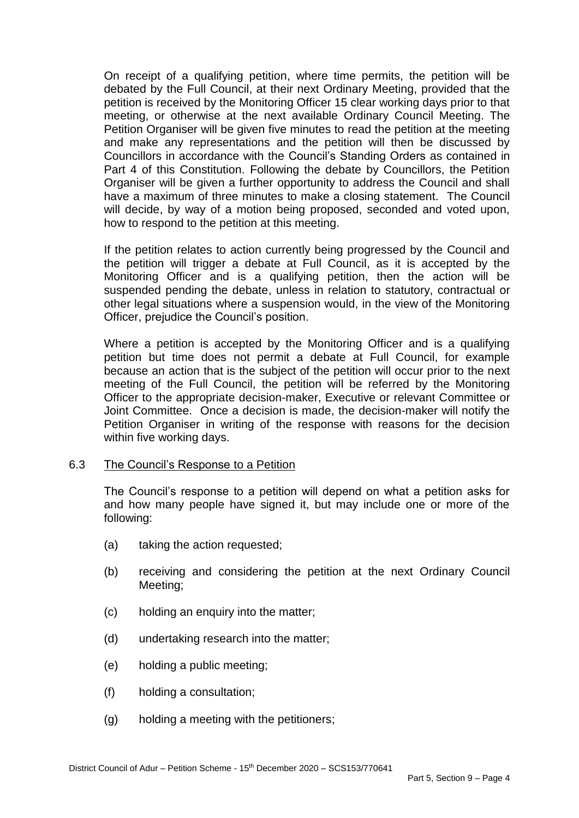On receipt of a qualifying petition, where time permits, the petition will be debated by the Full Council, at their next Ordinary Meeting, provided that the petition is received by the Monitoring Officer 15 clear working days prior to that meeting, or otherwise at the next available Ordinary Council Meeting. The Petition Organiser will be given five minutes to read the petition at the meeting and make any representations and the petition will then be discussed by Councillors in accordance with the Council's Standing Orders as contained in Part 4 of this Constitution. Following the debate by Councillors, the Petition Organiser will be given a further opportunity to address the Council and shall have a maximum of three minutes to make a closing statement. The Council will decide, by way of a motion being proposed, seconded and voted upon, how to respond to the petition at this meeting.

If the petition relates to action currently being progressed by the Council and the petition will trigger a debate at Full Council, as it is accepted by the Monitoring Officer and is a qualifying petition, then the action will be suspended pending the debate, unless in relation to statutory, contractual or other legal situations where a suspension would, in the view of the Monitoring Officer, prejudice the Council's position.

Where a petition is accepted by the Monitoring Officer and is a qualifying petition but time does not permit a debate at Full Council, for example because an action that is the subject of the petition will occur prior to the next meeting of the Full Council, the petition will be referred by the Monitoring Officer to the appropriate decision-maker, Executive or relevant Committee or Joint Committee. Once a decision is made, the decision-maker will notify the Petition Organiser in writing of the response with reasons for the decision within five working days.

### 6.3 The Council's Response to a Petition

The Council's response to a petition will depend on what a petition asks for and how many people have signed it, but may include one or more of the following:

- (a) taking the action requested;
- (b) receiving and considering the petition at the next Ordinary Council Meeting;
- (c) holding an enquiry into the matter;
- (d) undertaking research into the matter;
- (e) holding a public meeting;
- (f) holding a consultation;
- (g) holding a meeting with the petitioners;